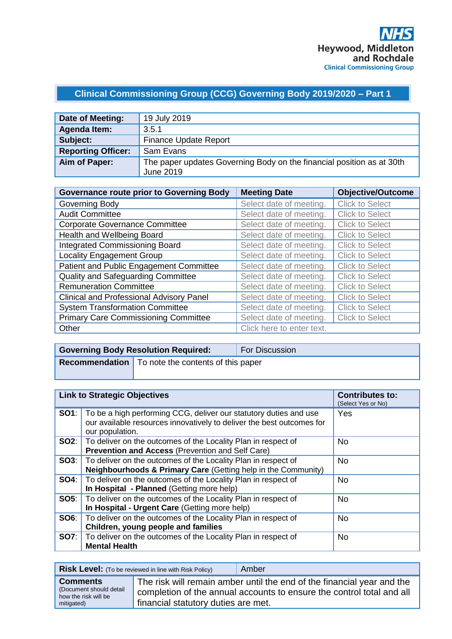# **Clinical Commissioning Group (CCG) Governing Body 2019/2020 – Part 1**

| Date of Meeting:          | 19 July 2019                                                                       |
|---------------------------|------------------------------------------------------------------------------------|
| Agenda Item:              | 3.5.1                                                                              |
| Subject:                  | <b>Finance Update Report</b>                                                       |
| <b>Reporting Officer:</b> | Sam Evans                                                                          |
| Aim of Paper:             | The paper updates Governing Body on the financial position as at 30th<br>June 2019 |

| <b>Governance route prior to Governing Body</b> | <b>Meeting Date</b>       | <b>Objective/Outcome</b> |
|-------------------------------------------------|---------------------------|--------------------------|
| Governing Body                                  | Select date of meeting.   | <b>Click to Select</b>   |
| <b>Audit Committee</b>                          | Select date of meeting.   | <b>Click to Select</b>   |
| <b>Corporate Governance Committee</b>           | Select date of meeting.   | <b>Click to Select</b>   |
| Health and Wellbeing Board                      | Select date of meeting.   | <b>Click to Select</b>   |
| <b>Integrated Commissioning Board</b>           | Select date of meeting.   | <b>Click to Select</b>   |
| <b>Locality Engagement Group</b>                | Select date of meeting.   | <b>Click to Select</b>   |
| Patient and Public Engagement Committee         | Select date of meeting.   | <b>Click to Select</b>   |
| Quality and Safeguarding Committee              | Select date of meeting.   | <b>Click to Select</b>   |
| <b>Remuneration Committee</b>                   | Select date of meeting.   | <b>Click to Select</b>   |
| <b>Clinical and Professional Advisory Panel</b> | Select date of meeting.   | <b>Click to Select</b>   |
| <b>System Transformation Committee</b>          | Select date of meeting.   | <b>Click to Select</b>   |
| <b>Primary Care Commissioning Committee</b>     | Select date of meeting.   | <b>Click to Select</b>   |
| Other                                           | Click here to enter text. |                          |

| <b>Governing Body Resolution Required:</b> |                                                          | <b>For Discussion</b> |
|--------------------------------------------|----------------------------------------------------------|-----------------------|
|                                            | <b>Recommendation</b> To note the contents of this paper |                       |
|                                            |                                                          |                       |

|      | <b>Link to Strategic Objectives</b>                                                                                                                                        | <b>Contributes to:</b><br>(Select Yes or No) |
|------|----------------------------------------------------------------------------------------------------------------------------------------------------------------------------|----------------------------------------------|
|      | <b>SO1</b> : To be a high performing CCG, deliver our statutory duties and use<br>our available resources innovatively to deliver the best outcomes for<br>our population. | Yes                                          |
|      | <b>SO2:</b>   To deliver on the outcomes of the Locality Plan in respect of<br><b>Prevention and Access (Prevention and Self Care)</b>                                     | <b>No</b>                                    |
|      | <b>SO3:</b>   To deliver on the outcomes of the Locality Plan in respect of<br>Neighbourhoods & Primary Care (Getting help in the Community)                               | <b>No</b>                                    |
|      | <b>SO4:</b> To deliver on the outcomes of the Locality Plan in respect of<br>In Hospital - Planned (Getting more help)                                                     | <b>No</b>                                    |
|      | <b>SO5:</b>   To deliver on the outcomes of the Locality Plan in respect of<br>In Hospital - Urgent Care (Getting more help)                                               | <b>No</b>                                    |
| SO6: | To deliver on the outcomes of the Locality Plan in respect of<br>Children, young people and families                                                                       | <b>No</b>                                    |
|      | <b>SO7:</b> To deliver on the outcomes of the Locality Plan in respect of<br><b>Mental Health</b>                                                                          | <b>No</b>                                    |

|                                                                                  | <b>Risk Level:</b> (To be reviewed in line with Risk Policy) | Amber                                                                                                                                           |
|----------------------------------------------------------------------------------|--------------------------------------------------------------|-------------------------------------------------------------------------------------------------------------------------------------------------|
| <b>Comments</b><br>(Document should detail<br>how the risk will be<br>mitigated) | financial statutory duties are met.                          | The risk will remain amber until the end of the financial year and the<br>completion of the annual accounts to ensure the control total and all |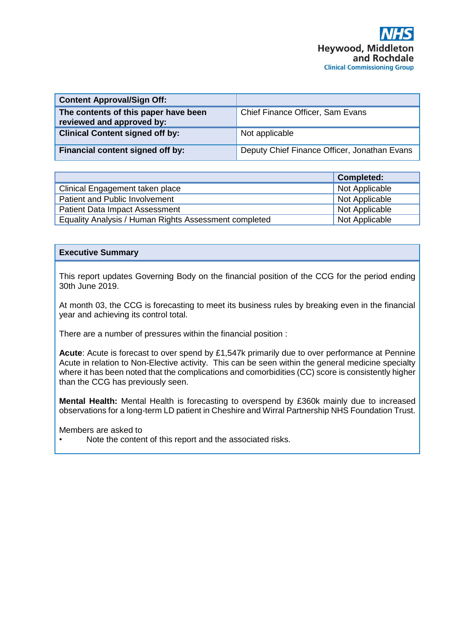| <b>Content Approval/Sign Off:</b>                                 |                                              |
|-------------------------------------------------------------------|----------------------------------------------|
| The contents of this paper have been<br>reviewed and approved by: | Chief Finance Officer, Sam Evans             |
| <b>Clinical Content signed off by:</b>                            | Not applicable                               |
| Financial content signed off by:                                  | Deputy Chief Finance Officer, Jonathan Evans |

|                                                       | <b>Completed:</b> |
|-------------------------------------------------------|-------------------|
| Clinical Engagement taken place                       | Not Applicable    |
| Patient and Public Involvement                        | Not Applicable    |
| <b>Patient Data Impact Assessment</b>                 | Not Applicable    |
| Equality Analysis / Human Rights Assessment completed | Not Applicable    |

# **Executive Summary**

This report updates Governing Body on the financial position of the CCG for the period ending 30th June 2019.

At month 03, the CCG is forecasting to meet its business rules by breaking even in the financial year and achieving its control total.

There are a number of pressures within the financial position :

**Acute**: Acute is forecast to over spend by £1,547k primarily due to over performance at Pennine Acute in relation to Non-Elective activity. This can be seen within the general medicine specialty where it has been noted that the complications and comorbidities (CC) score is consistently higher than the CCG has previously seen.

**Mental Health:** Mental Health is forecasting to overspend by £360k mainly due to increased observations for a long-term LD patient in Cheshire and Wirral Partnership NHS Foundation Trust.

Members are asked to

Note the content of this report and the associated risks.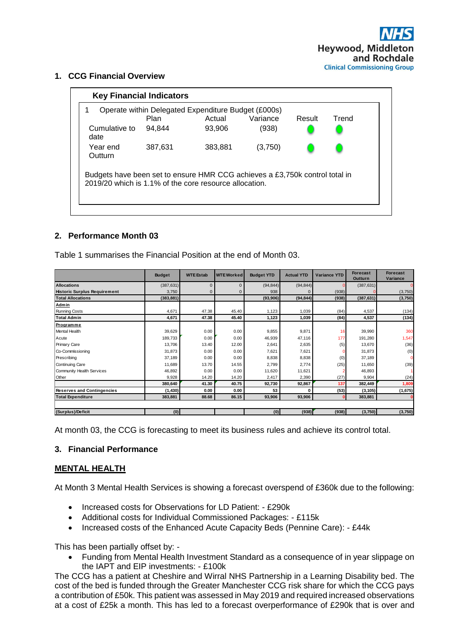**1. CCG Financial Overview**

| <b>Key Financial Indicators</b>                                                                                                       |             |                                                     |          |        |       |  |
|---------------------------------------------------------------------------------------------------------------------------------------|-------------|-----------------------------------------------------|----------|--------|-------|--|
|                                                                                                                                       |             | Operate within Delegated Expenditure Budget (£000s) |          |        |       |  |
|                                                                                                                                       | <b>Plan</b> | Actual                                              | Variance | Result | Trend |  |
| Cumulative to<br>date                                                                                                                 | 94.844      | 93.906                                              | (938)    |        |       |  |
| Year end<br>Outturn                                                                                                                   | 387.631     | 383.881                                             | (3,750)  |        |       |  |
| Budgets have been set to ensure HMR CCG achieves a £3,750k control total in<br>2019/20 which is 1.1% of the core resource allocation. |             |                                                     |          |        |       |  |

# **2. Performance Month 03**

Table 1 summarises the Financial Position at the end of Month 03.

|                                     | <b>Budget</b> | <b>WTE Estab</b> | <b>WTE Worked</b> | <b>Budget YTD</b> | <b>Actual YTD</b> | Variance YTD | <b>Forecast</b><br>Outturn | <b>Forecast</b><br>Variance |
|-------------------------------------|---------------|------------------|-------------------|-------------------|-------------------|--------------|----------------------------|-----------------------------|
| <b>Allocations</b>                  | (387, 631)    | $\mathbf 0$      | $\mathbf{0}$      | (94, 844)         | (94, 844)         |              | (387, 631)                 |                             |
| <b>Historic Surplus Requirement</b> | 3,750         | $\mathbf 0$      | $\Omega$          | 938               |                   | (938)        |                            | (3,750)                     |
| <b>Total Allocations</b>            | (383, 881)    |                  |                   | (93,906)          | (94, 844)         | (938)        | (387, 631)                 | (3,750)                     |
| Admin                               |               |                  |                   |                   |                   |              |                            |                             |
| <b>Running Costs</b>                | 4,671         | 47.38            | 45.40             | 1,123             | 1,039             | (84)         | 4,537                      | (134)                       |
| <b>Total Admin</b>                  | 4,671         | 47.38            | 45.40             | 1,123             | 1,039             | (84)         | 4,537                      | (134)                       |
| <b>Programme</b>                    |               |                  |                   |                   |                   |              |                            |                             |
| Mental Health                       | 39,629        | 0.00             | 0.00              | 9,855             | 9,871             | 16           | 39,990                     | 360                         |
| Acute                               | 189,733       | 0.00             | 0.00              | 46,939            | 47,116            | 177          | 191,280                    | 1,547                       |
| Primary Care                        | 13,706        | 13.40            | 12.00             | 2,641             | 2,635             | (5)          | 13,670                     | (36)                        |
| Co-Commissioning                    | 31,873        | 0.00             | 0.00              | 7,621             | 7,621             |              | 31,873                     | (0)                         |
| Prescribing                         | 37,189        | 0.00             | 0.00              | 8,838             | 8,838             | (0)          | 37,189                     |                             |
| Continuing Care                     | 11,689        | 13.70            | 14.55             | 2,799             | 2,774             | (25)         | 11,650                     | (39)                        |
| Community Health Services           | 46,892        | 0.00             | 0.00              | 11,620            | 11,621            |              | 46,893                     |                             |
| Other                               | 9,928         | 14.20            | 14.20             | 2,417             | 2,390             | (27)         | 9,904                      | (24)                        |
|                                     | 380,640       | 41.30            | 40.75             | 92,730            | 92,867            | 137          | 382,449                    | 1,809                       |
| <b>Reserves and Contingencies</b>   | (1, 430)      | 0.00             | 0.00              | 53                | 0                 | (53)         | (3, 105)                   | (1,675)                     |
| <b>Total Expenditure</b>            | 383,881       | 88.68            | 86.15             | 93,906            | 93,906            |              | 383,881                    |                             |
|                                     |               |                  |                   |                   |                   |              |                            |                             |
| (Surplus)/Deficit                   | (0)           |                  |                   | (0)               | (938)             | (938)        | (3,750)                    | (3,750)                     |

At month 03, the CCG is forecasting to meet its business rules and achieve its control total.

# **3. Financial Performance**

# **MENTAL HEALTH**

At Month 3 Mental Health Services is showing a forecast overspend of £360k due to the following:

- Increased costs for Observations for LD Patient: £290k
- Additional costs for Individual Commissioned Packages: £115k
- Increased costs of the Enhanced Acute Capacity Beds (Pennine Care): £44k

This has been partially offset by: -

• Funding from Mental Health Investment Standard as a consequence of in year slippage on the IAPT and EIP investments: - £100k

The CCG has a patient at Cheshire and Wirral NHS Partnership in a Learning Disability bed. The cost of the bed is funded through the Greater Manchester CCG risk share for which the CCG pays a contribution of £50k. This patient was assessed in May 2019 and required increased observations at a cost of £25k a month. This has led to a forecast overperformance of £290k that is over and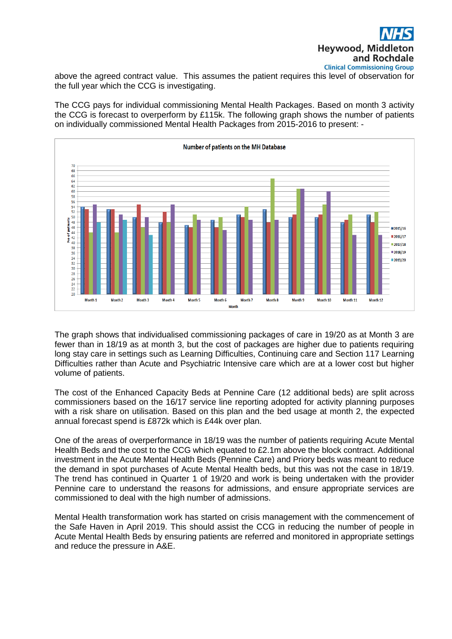

above the agreed contract value. This assumes the patient requires this level of observation for the full year which the CCG is investigating.

The CCG pays for individual commissioning Mental Health Packages. Based on month 3 activity the CCG is forecast to overperform by £115k. The following graph shows the number of patients on individually commissioned Mental Health Packages from 2015-2016 to present: -



The graph shows that individualised commissioning packages of care in 19/20 as at Month 3 are fewer than in 18/19 as at month 3, but the cost of packages are higher due to patients requiring long stay care in settings such as Learning Difficulties, Continuing care and Section 117 Learning Difficulties rather than Acute and Psychiatric Intensive care which are at a lower cost but higher volume of patients.

The cost of the Enhanced Capacity Beds at Pennine Care (12 additional beds) are split across commissioners based on the 16/17 service line reporting adopted for activity planning purposes with a risk share on utilisation. Based on this plan and the bed usage at month 2, the expected annual forecast spend is £872k which is £44k over plan.

One of the areas of overperformance in 18/19 was the number of patients requiring Acute Mental Health Beds and the cost to the CCG which equated to £2.1m above the block contract. Additional investment in the Acute Mental Health Beds (Pennine Care) and Priory beds was meant to reduce the demand in spot purchases of Acute Mental Health beds, but this was not the case in 18/19. The trend has continued in Quarter 1 of 19/20 and work is being undertaken with the provider Pennine care to understand the reasons for admissions, and ensure appropriate services are commissioned to deal with the high number of admissions.

Mental Health transformation work has started on crisis management with the commencement of the Safe Haven in April 2019. This should assist the CCG in reducing the number of people in Acute Mental Health Beds by ensuring patients are referred and monitored in appropriate settings and reduce the pressure in A&E.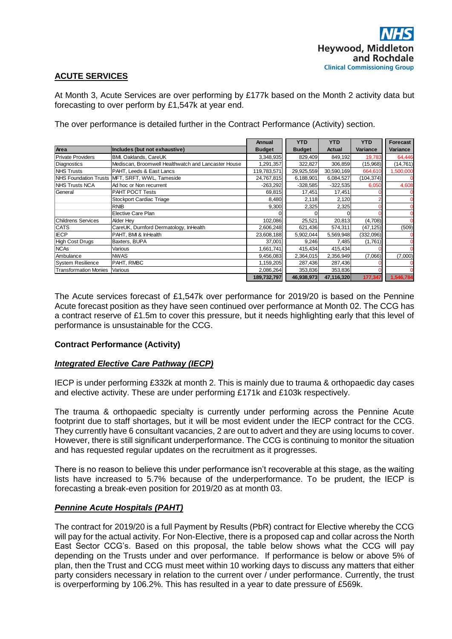# **ACUTE SERVICES**

At Month 3, Acute Services are over performing by £177k based on the Month 2 activity data but forecasting to over perform by £1,547k at year end.

The over performance is detailed further in the Contract Performance (Activity) section.

|                              |                                                                                                         | Annual        | <b>YTD</b>    | <b>YTD</b>    | <b>YTD</b> | Forecast       |
|------------------------------|---------------------------------------------------------------------------------------------------------|---------------|---------------|---------------|------------|----------------|
| Area                         | Includes (but not exhaustive)                                                                           | <b>Budget</b> | <b>Budget</b> | <b>Actual</b> | Variance   | Variance       |
| <b>Private Providers</b>     | BMI. Oaklands, CareUK                                                                                   | 3,348,935     | 829,409       | 849,192       | 19,783     | 64,446         |
| Diagnostics                  | Mediscan, Broomwell Healthwatch and Lancaster House                                                     | 1,291,357     | 322,827       | 306,859       | (15,968)   | (14, 761)      |
| <b>NHS Trusts</b>            | PAHT, Leeds & East Lancs                                                                                | 119,783,571   | 29,925,559    | 30,590,169    | 664,610    | 1,500,000      |
|                              | NHS Foundation Trusts MFT, SRFT, WWL, Tameside                                                          | 24,767,815    | 6,188,901     | 6,084,527     | (104, 374) |                |
| <b>NHS Trusts NCA</b>        | Ad hoc or Non recurrent                                                                                 | $-263,292$    | $-328,585$    | $-322.535$    | 6,050      | 4,608          |
| General                      | PAHT POCT Tests                                                                                         | 69,815        | 17,451        | 17,451        |            |                |
|                              | Stockport Cardiac Triage                                                                                | 8,480         | 2,118         | 2,120         |            | $\mathbf 0$    |
|                              | RNIB                                                                                                    | 9,300         | 2,325         | 2,325         |            | 0              |
|                              | Elective Care Plan                                                                                      |               | $\Omega$      | 0             |            | 0              |
| <b>Childrens Services</b>    | Alder Hey                                                                                               | 102,086       | 25,521        | 20,813        | (4,708)    | $\mathbf 0$    |
| <b>CATS</b>                  | CareUK, Durnford Dermatology, InHealth                                                                  | 2,606,248     | 621,436       | 574,311       | (47, 125)  | (509)          |
| <b>IECP</b>                  | PAHT, BMI & InHealth                                                                                    | 23,608,188    | 5,902,044     | 5,569,948     | (332,096)  |                |
| <b>High Cost Drugs</b>       | Baxters, BUPA                                                                                           | 37,001        | 9,246         | 7,485         | (1,761)    | $\overline{0}$ |
| <b>NCAs</b>                  | Various                                                                                                 | 1,661,741     | 415,434       | 415,434       |            |                |
| Ambulance                    | <b>NWAS</b>                                                                                             | 9,456,083     | 2,364,015     | 2,356,949     | (7,066)    | (7,000)        |
|                              | PAHT, RMBC                                                                                              | 1,159,205     | 287,436       |               |            | 0              |
| <b>System Resilience</b>     |                                                                                                         |               |               | 287,436       |            |                |
| <b>Transformation Monies</b> | Various                                                                                                 | 2,086,264     | 353,836       | 353,836       |            |                |
|                              |                                                                                                         | 189,732,797   | 46,938,973    | 47,116,320    | 177,347    | 1,546,784      |
|                              | The Acute services forecast of £1,547k over performance for 2019/20 is based on the Pennine             |               |               |               |            |                |
|                              | Acute forecast position as they have seen continued over performance at Month 02. The CCG has           |               |               |               |            |                |
|                              |                                                                                                         |               |               |               |            |                |
|                              | a contract reserve of £1.5m to cover this pressure, but it needs highlighting early that this level of  |               |               |               |            |                |
|                              | performance is unsustainable for the CCG.                                                               |               |               |               |            |                |
|                              |                                                                                                         |               |               |               |            |                |
|                              | <b>Contract Performance (Activity)</b>                                                                  |               |               |               |            |                |
|                              |                                                                                                         |               |               |               |            |                |
|                              |                                                                                                         |               |               |               |            |                |
|                              | <b>Integrated Elective Care Pathway (IECP)</b>                                                          |               |               |               |            |                |
|                              |                                                                                                         |               |               |               |            |                |
|                              |                                                                                                         |               |               |               |            |                |
|                              | IECP is under performing £332k at month 2. This is mainly due to trauma & orthopaedic day cases         |               |               |               |            |                |
|                              | and elective activity. These are under performing £171k and £103k respectively.                         |               |               |               |            |                |
|                              |                                                                                                         |               |               |               |            |                |
|                              |                                                                                                         |               |               |               |            |                |
|                              | The trauma & orthopaedic specialty is currently under performing across the Pennine Acute               |               |               |               |            |                |
|                              |                                                                                                         |               |               |               |            |                |
|                              | footprint due to staff shortages, but it will be most evident under the IECP contract for the CCG.      |               |               |               |            |                |
|                              | They currently have 6 consultant vacancies, 2 are out to advert and they are using locums to cover.     |               |               |               |            |                |
|                              | However, there is still significant underperformance. The CCG is continuing to monitor the situation    |               |               |               |            |                |
|                              |                                                                                                         |               |               |               |            |                |
|                              | and has requested regular updates on the recruitment as it progresses.                                  |               |               |               |            |                |
|                              |                                                                                                         |               |               |               |            |                |
|                              |                                                                                                         |               |               |               |            |                |
|                              | There is no reason to believe this under performance isn't recoverable at this stage, as the waiting    |               |               |               |            |                |
|                              | lists have increased to 5.7% because of the underperformance. To be prudent, the IECP is                |               |               |               |            |                |
|                              |                                                                                                         |               |               |               |            |                |
|                              | forecasting a break-even position for 2019/20 as at month 03.                                           |               |               |               |            |                |
|                              |                                                                                                         |               |               |               |            |                |
|                              | <b>Pennine Acute Hospitals (PAHT)</b>                                                                   |               |               |               |            |                |
|                              |                                                                                                         |               |               |               |            |                |
|                              |                                                                                                         |               |               |               |            |                |
|                              | The contract for 2019/20 is a full Payment by Results (PbR) contract for Elective whereby the CCG       |               |               |               |            |                |
|                              |                                                                                                         |               |               |               |            |                |
|                              | will pay for the actual activity. For Non-Elective, there is a proposed cap and collar across the North |               |               |               |            |                |
|                              |                                                                                                         |               |               |               |            |                |
|                              | East Sector CCG's. Based on this proposal, the table below shows what the CCG will pay                  |               |               |               |            |                |
|                              | depending on the Trusts under and over performance. If performance is below or above 5% of              |               |               |               |            |                |
|                              |                                                                                                         |               |               |               |            |                |
|                              | plan, then the Trust and CCG must meet within 10 working days to discuss any matters that either        |               |               |               |            |                |
|                              | party considers necessary in relation to the current over / under performance. Currently, the trust     |               |               |               |            |                |
|                              | is overperforming by 106.2%. This has resulted in a year to date pressure of £569k.                     |               |               |               |            |                |
|                              |                                                                                                         |               |               |               |            |                |

# **Contract Performance (Activity)**

# *Integrated Elective Care Pathway (IECP)*

# *Pennine Acute Hospitals (PAHT)*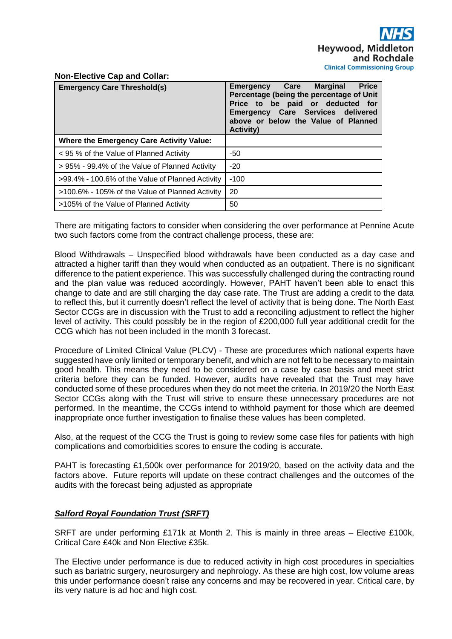## **Non-Elective Cap and Collar:**

| <b>Emergency Care Threshold(s)</b>               | <b>Price</b><br><b>Emergency Care Marginal</b><br>Percentage (being the percentage of Unit<br>Price to be paid or deducted for<br>Emergency Care Services delivered<br>above or below the Value of Planned<br><b>Activity)</b> |
|--------------------------------------------------|--------------------------------------------------------------------------------------------------------------------------------------------------------------------------------------------------------------------------------|
| <b>Where the Emergency Care Activity Value:</b>  |                                                                                                                                                                                                                                |
| < 95 % of the Value of Planned Activity          | -50                                                                                                                                                                                                                            |
| > 95% - 99.4% of the Value of Planned Activity   | $-20$                                                                                                                                                                                                                          |
| >99.4% - 100.6% of the Value of Planned Activity | $-100$                                                                                                                                                                                                                         |
| >100.6% - 105% of the Value of Planned Activity  | 20                                                                                                                                                                                                                             |
| >105% of the Value of Planned Activity           | 50                                                                                                                                                                                                                             |

There are mitigating factors to consider when considering the over performance at Pennine Acute two such factors come from the contract challenge process, these are:

Blood Withdrawals – Unspecified blood withdrawals have been conducted as a day case and attracted a higher tariff than they would when conducted as an outpatient. There is no significant difference to the patient experience. This was successfully challenged during the contracting round and the plan value was reduced accordingly. However, PAHT haven't been able to enact this change to date and are still charging the day case rate. The Trust are adding a credit to the data to reflect this, but it currently doesn't reflect the level of activity that is being done. The North East Sector CCGs are in discussion with the Trust to add a reconciling adjustment to reflect the higher level of activity. This could possibly be in the region of £200,000 full year additional credit for the CCG which has not been included in the month 3 forecast.

Procedure of Limited Clinical Value (PLCV) - These are procedures which national experts have suggested have only limited or temporary benefit, and which are not felt to be necessary to maintain good health. This means they need to be considered on a case by case basis and meet strict criteria before they can be funded. However, audits have revealed that the Trust may have conducted some of these procedures when they do not meet the criteria. In 2019/20 the North East Sector CCGs along with the Trust will strive to ensure these unnecessary procedures are not performed. In the meantime, the CCGs intend to withhold payment for those which are deemed inappropriate once further investigation to finalise these values has been completed.

Also, at the request of the CCG the Trust is going to review some case files for patients with high complications and comorbidities scores to ensure the coding is accurate.

PAHT is forecasting £1,500k over performance for 2019/20, based on the activity data and the factors above. Future reports will update on these contract challenges and the outcomes of the audits with the forecast being adjusted as appropriate

# *Salford Royal Foundation Trust (SRFT)*

SRFT are under performing £171k at Month 2. This is mainly in three areas – Elective £100k, Critical Care £40k and Non Elective £35k.

The Elective under performance is due to reduced activity in high cost procedures in specialties such as bariatric surgery, neurosurgery and nephrology. As these are high cost, low volume areas this under performance doesn't raise any concerns and may be recovered in year. Critical care, by its very nature is ad hoc and high cost.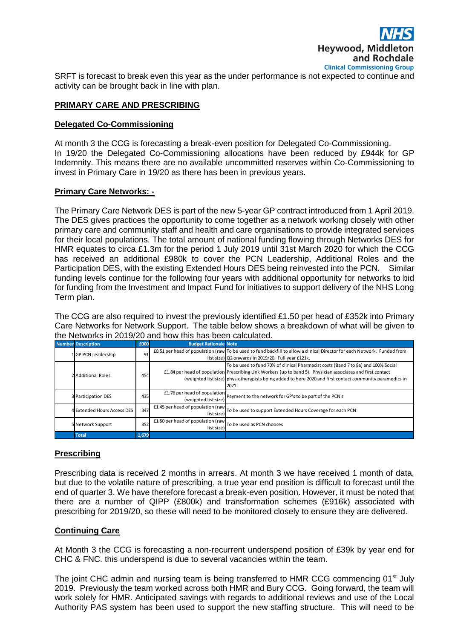

SRFT is forecast to break even this year as the under performance is not expected to continue and activity can be brought back in line with plan.

# **PRIMARY CARE AND PRESCRIBING**

# **Delegated Co-Commissioning**

At month 3 the CCG is forecasting a break-even position for Delegated Co-Commissioning. In 19/20 the Delegated Co-Commissioning allocations have been reduced by £944k for GP Indemnity. This means there are no available uncommitted reserves within Co-Commissioning to invest in Primary Care in 19/20 as there has been in previous years.

## **Primary Care Networks: -**

The Primary Care Network DES is part of the new 5-year GP contract introduced from 1 April 2019. The DES gives practices the opportunity to come together as a network working closely with other primary care and community staff and health and care organisations to provide integrated services for their local populations. The total amount of national funding flowing through Networks DES for HMR equates to circa £1.3m for the period 1 July 2019 until 31st March 2020 for which the CCG has received an additional £980k to cover the PCN Leadership, Additional Roles and the Participation DES, with the existing Extended Hours DES being reinvested into the PCN. Similar funding levels continue for the following four years with additional opportunity for networks to bid for funding from the Investment and Impact Fund for initiatives to support delivery of the NHS Long Term plan.

The CCG are also required to invest the previously identified £1.50 per head of £352k into Primary Care Networks for Network Support. The table below shows a breakdown of what will be given to the Networks in 2019/20 and how this has been calculated.

| <b>Number Description</b>   | £000  | <b>Budget Rationale Note</b>                                              |                                                                                                                                                                                                                                                                                                                        |
|-----------------------------|-------|---------------------------------------------------------------------------|------------------------------------------------------------------------------------------------------------------------------------------------------------------------------------------------------------------------------------------------------------------------------------------------------------------------|
| 1 GP PCN Leadership         | 91    |                                                                           | £0.51 per head of population (raw To be used to fund backfill to allow a clinical Director for each Network. Funded from<br>list size) Q2 onwards in 2019/20. Full year £121k.                                                                                                                                         |
| 2 Additional Roles          | 454   |                                                                           | To be used to fund 70% of clinical Pharmacist costs (Band 7 to 8a) and 100% Social<br>£1.84 per head of population Prescribing Link Workers (up to band 5). Physician associates and first contact<br>(weighted list size) physiotherapists being added to here 2020 and first contact community paramedics in<br>2021 |
| 3 Participation DES         | 435   | £1.76 per head of population<br>(weighted list size)                      | Payment to the network for GP's to be part of the PCN's                                                                                                                                                                                                                                                                |
| 4 Extended Hours Access DES | 347   | list size)                                                                | E1.45 per head of population (raw To be used to support Extended Hours Coverage for each PCN                                                                                                                                                                                                                           |
| 5 Network Support           | 352   | E1.50 per head of population (raw To be used as PCN chooses<br>list size) |                                                                                                                                                                                                                                                                                                                        |
| <b>Total</b>                | 1,679 |                                                                           |                                                                                                                                                                                                                                                                                                                        |

# **Prescribing**

Prescribing data is received 2 months in arrears. At month 3 we have received 1 month of data, but due to the volatile nature of prescribing, a true year end position is difficult to forecast until the end of quarter 3. We have therefore forecast a break-even position. However, it must be noted that there are a number of QIPP (£800k) and transformation schemes (£916k) associated with prescribing for 2019/20, so these will need to be monitored closely to ensure they are delivered.

# **Continuing Care**

At Month 3 the CCG is forecasting a non-recurrent underspend position of £39k by year end for CHC & FNC. this underspend is due to several vacancies within the team.

The joint CHC admin and nursing team is being transferred to HMR CCG commencing 01<sup>st</sup> July 2019. Previously the team worked across both HMR and Bury CCG. Going forward, the team will work solely for HMR. Anticipated savings with regards to additional reviews and use of the Local Authority PAS system has been used to support the new staffing structure. This will need to be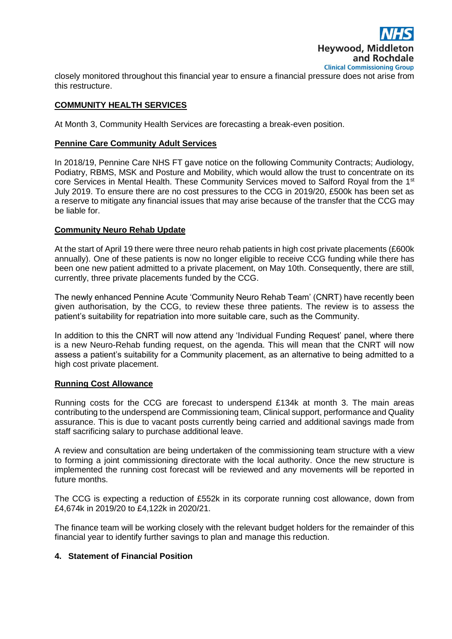

closely monitored throughout this financial year to ensure a financial pressure does not arise from this restructure.

# **COMMUNITY HEALTH SERVICES**

At Month 3, Community Health Services are forecasting a break-even position.

## **Pennine Care Community Adult Services**

In 2018/19, Pennine Care NHS FT gave notice on the following Community Contracts; Audiology, Podiatry, RBMS, MSK and Posture and Mobility, which would allow the trust to concentrate on its core Services in Mental Health. These Community Services moved to Salford Royal from the 1<sup>st</sup> July 2019. To ensure there are no cost pressures to the CCG in 2019/20, £500k has been set as a reserve to mitigate any financial issues that may arise because of the transfer that the CCG may be liable for.

## **Community Neuro Rehab Update**

At the start of April 19 there were three neuro rehab patients in high cost private placements (£600k annually). One of these patients is now no longer eligible to receive CCG funding while there has been one new patient admitted to a private placement, on May 10th. Consequently, there are still, currently, three private placements funded by the CCG.

The newly enhanced Pennine Acute 'Community Neuro Rehab Team' (CNRT) have recently been given authorisation, by the CCG, to review these three patients. The review is to assess the patient's suitability for repatriation into more suitable care, such as the Community.

In addition to this the CNRT will now attend any 'Individual Funding Request' panel, where there is a new Neuro-Rehab funding request, on the agenda. This will mean that the CNRT will now assess a patient's suitability for a Community placement, as an alternative to being admitted to a high cost private placement.

#### **Running Cost Allowance**

Running costs for the CCG are forecast to underspend £134k at month 3. The main areas contributing to the underspend are Commissioning team, Clinical support, performance and Quality assurance. This is due to vacant posts currently being carried and additional savings made from staff sacrificing salary to purchase additional leave.

A review and consultation are being undertaken of the commissioning team structure with a view to forming a joint commissioning directorate with the local authority. Once the new structure is implemented the running cost forecast will be reviewed and any movements will be reported in future months.

The CCG is expecting a reduction of £552k in its corporate running cost allowance, down from £4,674k in 2019/20 to £4,122k in 2020/21.

The finance team will be working closely with the relevant budget holders for the remainder of this financial year to identify further savings to plan and manage this reduction.

#### **4. Statement of Financial Position**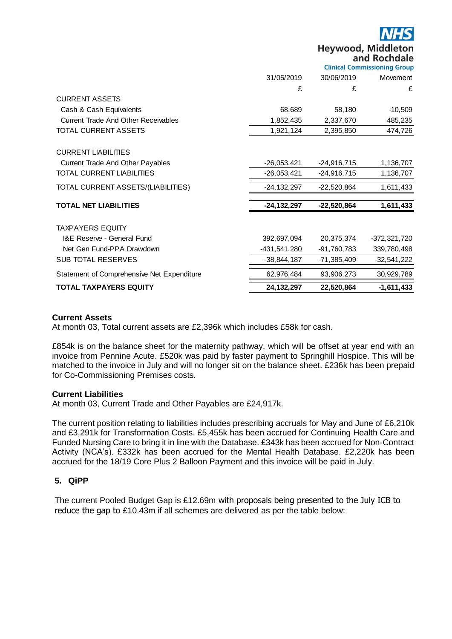**Hevwood, Middleton** and Rochdale

|                                            | <b>Clinical Commissioning Group</b> |               |                |  |
|--------------------------------------------|-------------------------------------|---------------|----------------|--|
|                                            | 31/05/2019                          | 30/06/2019    | Movement       |  |
|                                            | £                                   | £             | £              |  |
| <b>CURRENT ASSETS</b>                      |                                     |               |                |  |
| Cash & Cash Equivalents                    | 68,689                              | 58,180        | $-10,509$      |  |
| <b>Current Trade And Other Receivables</b> | 1,852,435                           | 2,337,670     | 485,235        |  |
| <b>TOTAL CURRENT ASSETS</b>                | 1,921,124                           | 2,395,850     | 474,726        |  |
| <b>CURRENT LIABILITIES</b>                 |                                     |               |                |  |
| Current Trade And Other Payables           | $-26,053,421$                       | $-24,916,715$ | 1,136,707      |  |
| <b>TOTAL CURRENT LIABILITIES</b>           | $-26,053,421$                       | $-24,916,715$ | 1,136,707      |  |
| TOTAL CURRENT ASSETS/(LIABILITIES)         | $-24, 132, 297$                     | $-22,520,864$ | 1,611,433      |  |
| <b>TOTAL NET LIABILITIES</b>               | $-24, 132, 297$                     | $-22,520,864$ | 1,611,433      |  |
| <b>TAXPAYERS EQUITY</b>                    |                                     |               |                |  |
| <b>I&amp;E Reserve - General Fund</b>      | 392,697,094                         | 20,375,374    | $-372,321,720$ |  |
| Net Gen Fund-PPA Drawdown                  | -431,541,280                        | -91,760,783   | 339,780,498    |  |
| <b>SUB TOTAL RESERVES</b>                  | $-38,844,187$                       | -71,385,409   | $-32,541,222$  |  |
| Statement of Comprehensive Net Expenditure | 62,976,484                          | 93,906,273    | 30,929,789     |  |
| <b>TOTAL TAXPAYERS EQUITY</b>              | 24, 132, 297                        | 22,520,864    | $-1,611,433$   |  |

## **Current Assets**

At month 03, Total current assets are £2,396k which includes £58k for cash.

£854k is on the balance sheet for the maternity pathway, which will be offset at year end with an invoice from Pennine Acute. £520k was paid by faster payment to Springhill Hospice. This will be matched to the invoice in July and will no longer sit on the balance sheet. £236k has been prepaid for Co-Commissioning Premises costs.

#### **Current Liabilities**

At month 03, Current Trade and Other Payables are £24,917k.

The current position relating to liabilities includes prescribing accruals for May and June of £6,210k and £3,291k for Transformation Costs. £5,455k has been accrued for Continuing Health Care and Funded Nursing Care to bring it in line with the Database. £343k has been accrued for Non-Contract Activity (NCA's). £332k has been accrued for the Mental Health Database. £2,220k has been accrued for the 18/19 Core Plus 2 Balloon Payment and this invoice will be paid in July.

# **5. QiPP**

The current Pooled Budget Gap is £12.69m with proposals being presented to the July ICB to reduce the gap to £10.43m if all schemes are delivered as per the table below: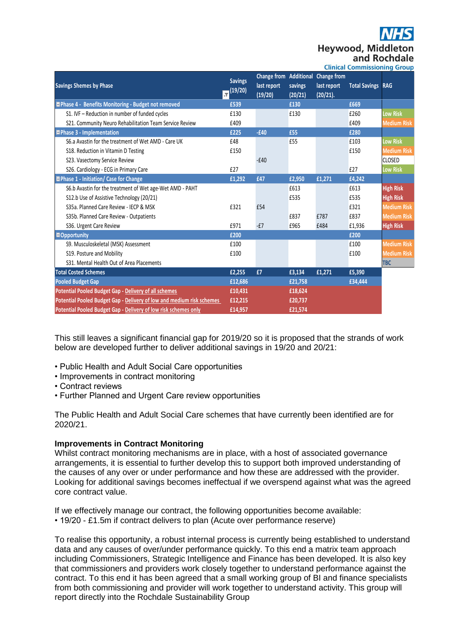**Heywood, Middle** and Rochdale

|                                                                       | <b>Clinical Commissioning Group</b> |                                                         |                    |                                               |                      |                    |
|-----------------------------------------------------------------------|-------------------------------------|---------------------------------------------------------|--------------------|-----------------------------------------------|----------------------|--------------------|
| <b>Savings Shemes by Phase</b><br>.<br>T                              | <b>Savings</b><br>(19/20)           | <b>Change from Additional</b><br>last report<br>(19/20) | savings<br>(20/21) | <b>Change from</b><br>last report<br>(20/21). | <b>Total Savings</b> | <b>RAG</b>         |
| Phase 4 - Benefits Monitoring - Budget not removed                    | £539                                |                                                         | £130               |                                               | £669                 |                    |
| S1. IVF - Reduction in number of funded cycles                        | £130                                |                                                         | £130               |                                               | £260                 | <b>Low Risk</b>    |
| S21. Community Neuro Rehabilitation Team Service Review               | £409                                |                                                         |                    |                                               | £409                 | <b>Medium Risk</b> |
| <b>EPhase 3 - Implementation</b>                                      | £225                                | $-£40$                                                  | £55                |                                               | £280                 |                    |
| S6.a Avastin for the treatment of Wet AMD - Care UK                   | £48                                 |                                                         | £55                |                                               | £103                 | <b>Low Risk</b>    |
| S18. Reduction in Vitamin D Testing                                   | £150                                |                                                         |                    |                                               | £150                 | <b>Medium Risk</b> |
| S23. Vasectomy Service Review                                         |                                     | $-£40$                                                  |                    |                                               |                      | <b>CLOSED</b>      |
| S26. Cardiology - ECG in Primary Care                                 | £27                                 |                                                         |                    |                                               | £27                  | <b>Low Risk</b>    |
| Phase 1 - Initiation/ Case for Change                                 | £1,292                              | £47                                                     | £2,950             | £1,271                                        | £4,242               |                    |
| S6.b Avastin for the treatment of Wet age-Wet AMD - PAHT              |                                     |                                                         | £613               |                                               | £613                 | <b>High Risk</b>   |
| S12.b Use of Assistive Technology (20/21)                             |                                     |                                                         | £535               |                                               | £535                 | <b>High Risk</b>   |
| S35a. Planned Care Review - IECP & MSK                                | £321                                | £54                                                     |                    |                                               | £321                 | <b>Medium Risk</b> |
| S35b. Planned Care Review - Outpatients                               |                                     |                                                         | £837               | £787                                          | £837                 | <b>Medium Risk</b> |
| S36. Urgent Care Review                                               | £971                                | $-E7$                                                   | £965               | £484                                          | £1,936               | <b>High Risk</b>   |
| <b>Opportunity</b>                                                    | £200                                |                                                         |                    |                                               | £200                 |                    |
| S9. Musculoskeletal (MSK) Assessment                                  | £100                                |                                                         |                    |                                               | £100                 | <b>Medium Risk</b> |
| S19. Posture and Mobility                                             | £100                                |                                                         |                    |                                               | £100                 | <b>Medium Risk</b> |
| S31. Mental Health Out of Area Placements                             |                                     |                                                         |                    |                                               |                      | <b>TBC</b>         |
| <b>Total Costed Schemes</b>                                           | £2,255                              | £7                                                      | £3,134             | £1,271                                        | £5,390               |                    |
| <b>Pooled Budget Gap</b>                                              | £12,686                             |                                                         | £21,758            |                                               | £34,444              |                    |
| Potential Pooled Budget Gap - Delivery of all schemes                 | £10,431                             |                                                         | £18,624            |                                               |                      |                    |
| Potential Pooled Budget Gap - Delivery of low and medium risk schemes | £12,215                             |                                                         | £20,737            |                                               |                      |                    |
| Potential Pooled Budget Gap - Delivery of low risk schemes only       | £14,957                             |                                                         | £21,574            |                                               |                      |                    |

This still leaves a significant financial gap for 2019/20 so it is proposed that the strands of work below are developed further to deliver additional savings in 19/20 and 20/21:

- Public Health and Adult Social Care opportunities
- Improvements in contract monitoring
- Contract reviews
- Further Planned and Urgent Care review opportunities

The Public Health and Adult Social Care schemes that have currently been identified are for 2020/21.

# **Improvements in Contract Monitoring**

Whilst contract monitoring mechanisms are in place, with a host of associated governance arrangements, it is essential to further develop this to support both improved understanding of the causes of any over or under performance and how these are addressed with the provider. Looking for additional savings becomes ineffectual if we overspend against what was the agreed core contract value.

If we effectively manage our contract, the following opportunities become available: • 19/20 - £1.5m if contract delivers to plan (Acute over performance reserve)

To realise this opportunity, a robust internal process is currently being established to understand data and any causes of over/under performance quickly. To this end a matrix team approach including Commissioners, Strategic Intelligence and Finance has been developed. It is also key that commissioners and providers work closely together to understand performance against the contract. To this end it has been agreed that a small working group of BI and finance specialists from both commissioning and provider will work together to understand activity. This group will report directly into the Rochdale Sustainability Group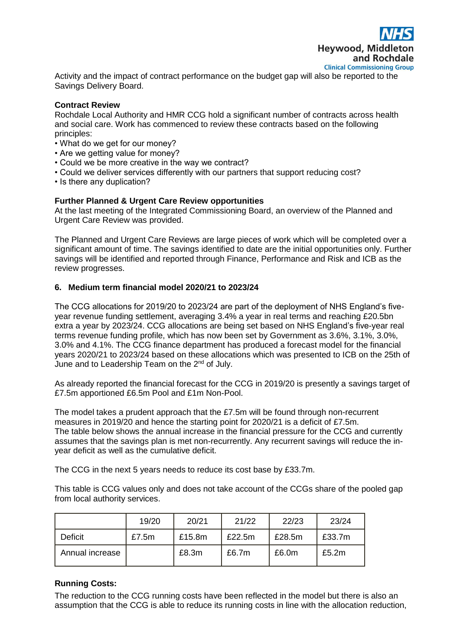

Activity and the impact of contract performance on the budget gap will also be reported to the Savings Delivery Board.

## **Contract Review**

Rochdale Local Authority and HMR CCG hold a significant number of contracts across health and social care. Work has commenced to review these contracts based on the following principles:

- What do we get for our money?
- Are we getting value for money?
- Could we be more creative in the way we contract?
- Could we deliver services differently with our partners that support reducing cost?
- Is there any duplication?

## **Further Planned & Urgent Care Review opportunities**

At the last meeting of the Integrated Commissioning Board, an overview of the Planned and Urgent Care Review was provided.

The Planned and Urgent Care Reviews are large pieces of work which will be completed over a significant amount of time. The savings identified to date are the initial opportunities only. Further savings will be identified and reported through Finance, Performance and Risk and ICB as the review progresses.

## **6. Medium term financial model 2020/21 to 2023/24**

The CCG allocations for 2019/20 to 2023/24 are part of the deployment of NHS England's fiveyear revenue funding settlement, averaging 3.4% a year in real terms and reaching £20.5bn extra a year by 2023/24. CCG allocations are being set based on NHS England's five-year real terms revenue funding profile, which has now been set by Government as 3.6%, 3.1%, 3.0%, 3.0% and 4.1%. The CCG finance department has produced a forecast model for the financial years 2020/21 to 2023/24 based on these allocations which was presented to ICB on the 25th of June and to Leadership Team on the  $2^{nd}$  of July.

As already reported the financial forecast for the CCG in 2019/20 is presently a savings target of £7.5m apportioned £6.5m Pool and £1m Non-Pool.

The model takes a prudent approach that the £7.5m will be found through non-recurrent measures in 2019/20 and hence the starting point for 2020/21 is a deficit of £7.5m. The table below shows the annual increase in the financial pressure for the CCG and currently assumes that the savings plan is met non-recurrently. Any recurrent savings will reduce the inyear deficit as well as the cumulative deficit.

The CCG in the next 5 years needs to reduce its cost base by £33.7m.

This table is CCG values only and does not take account of the CCGs share of the pooled gap from local authority services.

|                 | 19/20    | 20/21  | 21/22  | 22/23  | 23/24    |
|-----------------|----------|--------|--------|--------|----------|
| Deficit         | £7.5 $m$ | £15.8m | £22.5m | £28.5m | £33.7m   |
| Annual increase |          | £8.3m  | £6.7m  | £6.0m  | £5.2 $m$ |

#### **Running Costs:**

The reduction to the CCG running costs have been reflected in the model but there is also an assumption that the CCG is able to reduce its running costs in line with the allocation reduction,